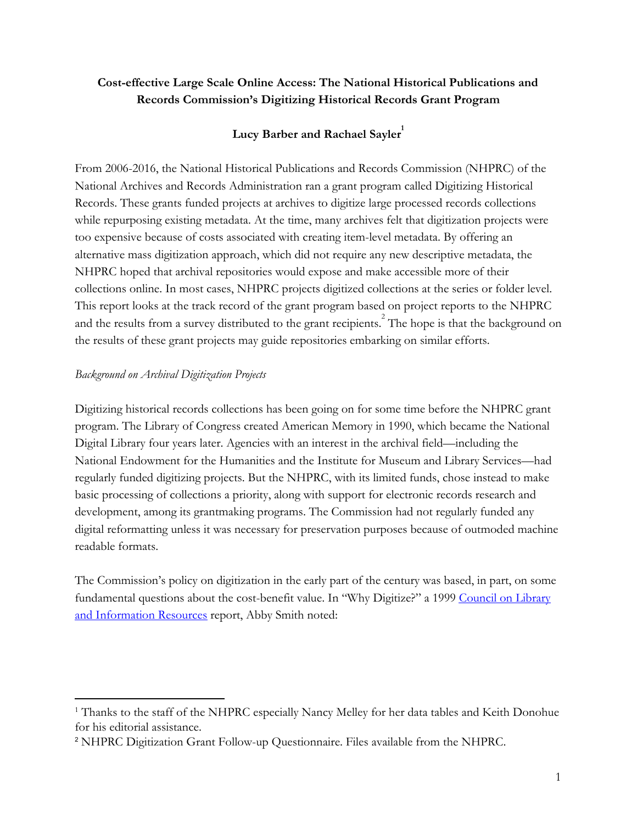## Cost-effective Large Scale Online Access: The National Historical Publications and Records Commission's Digitizing Historical Records Grant Program

# Lucy Barber and Rachael Sayler

From 2006-2016, the National Historical Publications and Records Commission (NHPRC) of the National Archives and Records Administration ran a grant program called Digitizing Historical Records. These grants funded projects at archives to digitize large processed records collections while repurposing existing metadata. At the time, many archives felt that digitization projects were too expensive because of costs associated with creating item-level metadata. By offering an alternative mass digitization approach, which did not require any new descriptive metadata, the NHPRC hoped that archival repositories would expose and make accessible more of their collections online. In most cases, NHPRC projects digitized collections at the series or folder level. This report looks at the track record of the grant program based on project reports to the NHPRC and the results from a survey distributed to the grant recipients.<sup>2</sup> The hope is that the background on the results of these grant projects may guide repositories embarking on similar efforts.

## *Background on Archival Digitization Projects*

Digitizing historical records collections has been going on for some time before the NHPRC grant program. The Library of Congress created American Memory in 1990, which became the National Digital Library four years later. Agencies with an interest in the archival field—including the National Endowment for the Humanities and the Institute for Museum and Library Services—had regularly funded digitizing projects. But the NHPRC, with its limited funds, chose instead to make basic processing of collections a priority, along with support for electronic records research and development, among its grantmaking programs. The Commission had not regularly funded any digital reformatting unless it was necessary for preservation purposes because of outmoded machine readable formats.

The Commission's policy on digitization in the early part of the century was based, in part, on some fundamental questions about the cost-benefit value. In "Why Digitize?" a 1999 [Council on Library](https://www.clir.org/) [and Information Resources](https://www.clir.org/) report, Abby Smith noted:

<sup>&</sup>lt;sup>1</sup> Thanks to the staff of the NHPRC especially Nancy Melley for her data tables and Keith Donohue for his editorial assistance.

<sup>2</sup> NHPRC Digitization Grant Follow-up Questionnaire. Files available from the NHPRC.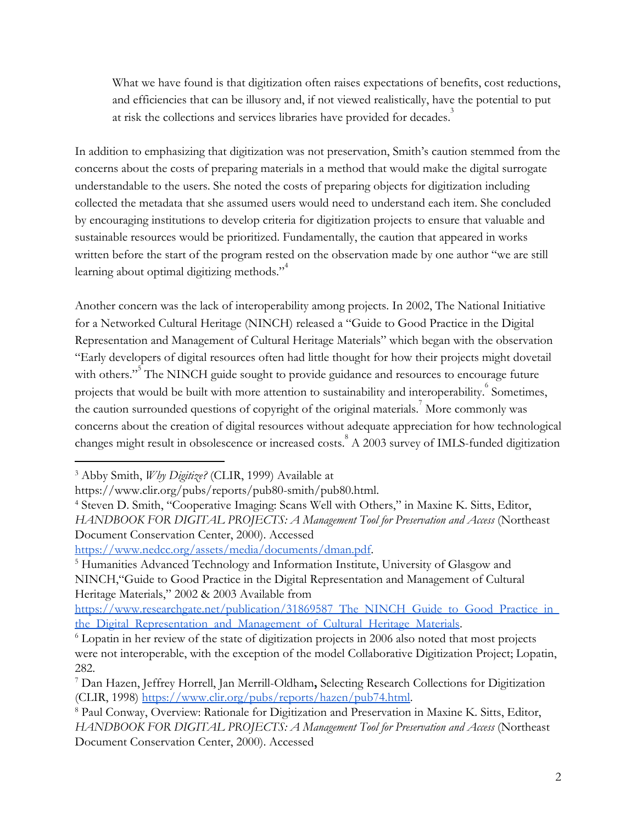What we have found is that digitization often raises expectations of benefits, cost reductions, and efficiencies that can be illusory and, if not viewed realistically, have the potential to put at risk the collections and services libraries have provided for decades.<sup>3</sup>

In addition to emphasizing that digitization was not preservation, Smith's caution stemmed from the concerns about the costs of preparing materials in a method that would make the digital surrogate understandable to the users. She noted the costs of preparing objects for digitization including collected the metadata that she assumed users would need to understand each item. She concluded by encouraging institutions to develop criteria for digitization projects to ensure that valuable and sustainable resources would be prioritized. Fundamentally, the caution that appeared in works written before the start of the program rested on the observation made by one author "we are still learning about optimal digitizing methods." $1<sup>4</sup>$ 

Another concern was the lack of interoperability among projects. In 2002, The National Initiative for a Networked Cultural Heritage (NINCH) released a "Guide to Good Practice in the Digital Representation and Management of Cultural Heritage Materials" which began with the observation "Early developers of digital resources often had little thought for how their projects might dovetail with others."<sup>5</sup> The NINCH guide sought to provide guidance and resources to encourage future projects that would be built with more attention to sustainability and interoperability. <sup>6</sup> Sometimes, the caution surrounded questions of copyright of the original materials.<sup>7</sup> More commonly was concerns about the creation of digital resources without adequate appreciation for how technological changes might result in obsolescence or increased costs.<sup>8</sup> A 2003 survey of IMLS-funded digitization

<https://www.nedcc.org/assets/media/documents/dman.pdf>.

<sup>3</sup> Abby Smith, *Why Digitize?* (CLIR, 1999) Available at

https://www.clir.org/pubs/reports/pub80-smith/pub80.html.

<sup>4</sup> Steven D. Smith, "Cooperative Imaging: Scans Well with Others," in Maxine K. Sitts, Editor, *HANDBOOK FOR DIGITAL PROJECTS: A Management Tool for Preservation and Access* (Northeast

Document Conservation Center, 2000). Accessed

<sup>&</sup>lt;sup>5</sup> Humanities Advanced Technology and Information Institute, University of Glasgow and NINCH,"Guide to Good Practice in the Digital Representation and Management of Cultural Heritage Materials," 2002 & 2003 Available from

https://www.researchgate.net/publication/31869587 The NINCH Guide to Good Practice in the Digital Representation and Management of Cultural Heritage Materials .

<sup>&</sup>lt;sup>6</sup> Lopatin in her review of the state of digitization projects in 2006 also noted that most projects were not interoperable, with the exception of the model Collaborative Digitization Project; Lopatin, 282.

<sup>&</sup>lt;sup>7</sup> Dan Hazen, Jeffrey Horrell, Jan Merrill-Oldham, Selecting Research Collections for Digitization (CLIR, 1998)<https://www.clir.org/pubs/reports/hazen/pub74.html> .

<sup>8</sup> Paul Conway, Overview: Rationale for Digitization and Preservation in Maxine K. Sitts, Editor, *HANDBOOK FOR DIGITAL PROJECTS: A Management Tool for Preservation and Access* (Northeast Document Conservation Center, 2000). Accessed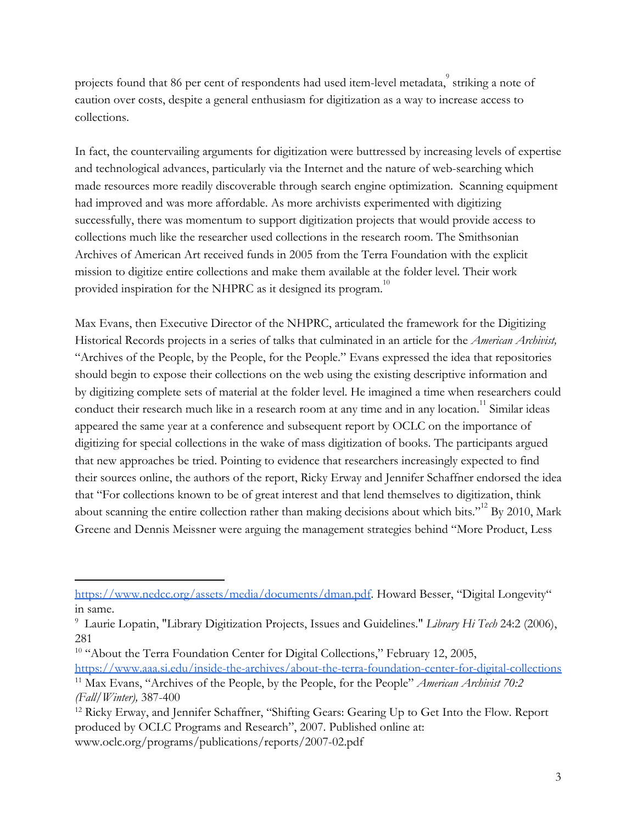projects found that 86 per cent of respondents had used item-level metadata, striking a note of caution over costs, despite a general enthusiasm for digitization as a way to increase access to collections.

In fact, the countervailing arguments for digitization were buttressed by increasing levels of expertise and technological advances, particularly via the Internet and the nature of web-searching which made resources more readily discoverable through search engine optimization. Scanning equipment had improved and was more affordable. As more archivists experimented with digitizing successfully, there was momentum to support digitization projects that would provide access to collections much like the researcher used collections in the research room. The Smithsonian Archives of American Art received funds in 2005 from the Terra Foundation with the explicit mission to digitize entire collections and make them available at the folder level. Their work provided inspiration for the NHPRC as it designed its program.<sup>10</sup>

Max Evans, then Executive Director of the NHPRC, articulated the framework for the Digitizing Historical Records projects in a series of talks that culminated in an article for the *American Archivist,* "Archives of the People, by the People, for the People." Evans expressed the idea that repositories should begin to expose their collections on the web using the existing descriptive information and by digitizing complete sets of material at the folder level. He imagined a time when researchers could conduct their research much like in a research room at any time and in any location.<sup>11</sup> Similar ideas appeared the same year at a conference and subsequent report by OCLC on the importance of digitizing for special collections in the wake of mass digitization of books. The participants argued that new approaches be tried. Pointing to evidence that researchers increasingly expected to find their sources online, the authors of the report, Ricky Erway and Jennifer Schaffner endorsed the idea that "For collections known to be of great interest and that lend themselves to digitization, think about scanning the entire collection rather than making decisions about which bits."<sup>12</sup> By 2010, Mark Greene and Dennis Meissner were arguing the management strategies behind "More Product, Less

<https://www.nedcc.org/assets/media/documents/dman.pdf>. Howard Besser, "Digital Longevity" in same.

<sup>9</sup> Laurie Lopatin, "Library Digitization Projects, Issues and Guidelines." *Library Hi Tech* 24:2 (2006), 281

<sup>&</sup>lt;sup>10</sup> "About the Terra Foundation Center for Digital Collections," February 12, 2005,

<https://www.aaa.si.edu/inside-the-archives/about-the-terra-foundation-center-for-digital-collections> <sup>11</sup> Max Evans, "Archives of the People, by the People, for the People" *American Archivist 70:2 (Fall/Winter),* 387-400

<sup>12</sup> Ricky Erway, and Jennifer Schaffner, "Shifting Gears: Gearing Up to Get Into the Flow. Report produced by OCLC Programs and Research", 2007. Published online at: www.oclc.org/programs/publications/reports/2007-02.pdf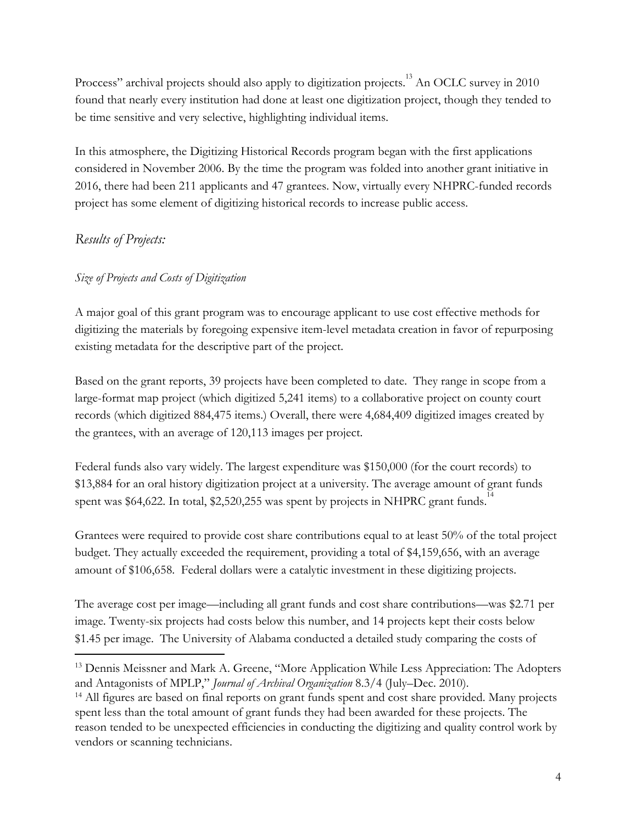Proccess" archival projects should also apply to digitization projects.<sup>13</sup> An OCLC survey in 2010 found that nearly every institution had done at least one digitization project, though they tended to be time sensitive and very selective, highlighting individual items.

In this atmosphere, the Digitizing Historical Records program began with the first applications considered in November 2006. By the time the program was folded into another grant initiative in 2016, there had been 211 applicants and 47 grantees. Now, virtually every NHPRC-funded records project has some element of digitizing historical records to increase public access.

# *Results of Projects:*

## *Size of Projects and Costs of Digitization*

A major goal of this grant program was to encourage applicant to use cost effective methods for digitizing the materials by foregoing expensive item-level metadata creation in favor of repurposing existing metadata for the descriptive part of the project.

Based on the grant reports, 39 projects have been completed to date. They range in scope from a large-format map project (which digitized 5,241 items) to a collaborative project on county court records (which digitized 884,475 items.) Overall, there were 4,684,409 digitized images created by the grantees, with an average of 120,113 images per project.

Federal funds also vary widely. The largest expenditure was \$150,000 (for the court records) to \$13,884 for an oral history digitization project at a university. The average amount of grant funds spent was  $$64,622$ . In total,  $$2,520,255$  was spent by projects in NHPRC grant funds.<sup>14</sup>

Grantees were required to provide cost share contributions equal to at least 50% of the total project budget. They actually exceeded the requirement, providing a total of \$4,159,656, with an average amount of \$106,658. Federal dollars were a catalytic investment in these digitizing projects.

The average cost per image—including all grant funds and cost share contributions—was \$2.71 per image. Twenty-six projects had costs below this number, and 14 projects kept their costs below \$1.45 per image. The University of Alabama conducted a detailed study comparing the costs of

<sup>&</sup>lt;sup>13</sup> Dennis Meissner and Mark A. Greene, "More Application While Less Appreciation: The Adopters and Antagonists of MPLP," *Journal of Archival Organization* 8.3/4 (July–Dec. 2010).

<sup>&</sup>lt;sup>14</sup> All figures are based on final reports on grant funds spent and cost share provided. Many projects spent less than the total amount of grant funds they had been awarded for these projects. The reason tended to be unexpected efficiencies in conducting the digitizing and quality control work by vendors or scanning technicians.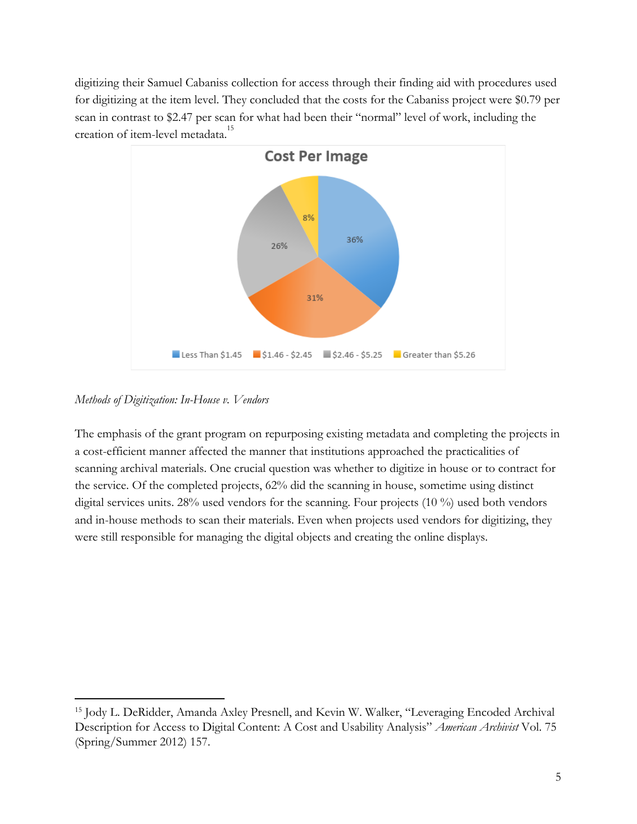digitizing their Samuel Cabaniss collection for access through their finding aid with procedures used for digitizing at the item level. They concluded that the costs for the Cabaniss project were \$0.79 per scan in contrast to \$2.47 per scan for what had been their "normal" level of work, including the creation of item-level metadata.<sup>15</sup>



*Methods of Digitization: In-House v. Vendors*

The emphasis of the grant program on repurposing existing metadata and completing the projects in a cost-efficient manner affected the manner that institutions approached the practicalities of scanning archival materials. One crucial question was whether to digitize in house or to contract for the service. Of the completed projects, 62% did the scanning in house, sometime using distinct digital services units. 28% used vendors for the scanning. Four projects (10 %) used both vendors and in-house methods to scan their materials. Even when projects used vendors for digitizing, they were still responsible for managing the digital objects and creating the online displays.

<sup>&</sup>lt;sup>15</sup> Jody L. DeRidder, Amanda Axley Presnell, and Kevin W. Walker, "Leveraging Encoded Archival Description for Access to Digital Content: A Cost and Usability Analysis" *American Archivist* Vol. 75 (Spring/Summer 2012) 157.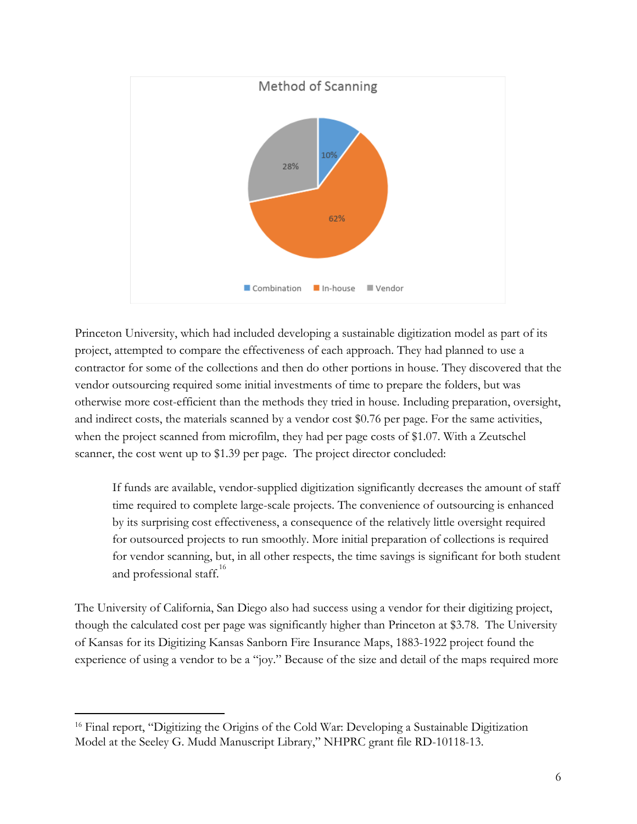

Princeton University, which had included developing a sustainable digitization model as part of its project, attempted to compare the effectiveness of each approach. They had planned to use a contractor for some of the collections and then do other portions in house. They discovered that the vendor outsourcing required some initial investments of time to prepare the folders, but was otherwise more cost-efficient than the methods they tried in house. Including preparation, oversight, and indirect costs, the materials scanned by a vendor cost \$0.76 per page. For the same activities, when the project scanned from microfilm, they had per page costs of \$1.07. With a Zeutschel scanner, the cost went up to \$1.39 per page. The project director concluded:

If funds are available, vendor-supplied digitization significantly decreases the amount of staff time required to complete large-scale projects. The convenience of outsourcing is enhanced by its surprising cost effectiveness, a consequence of the relatively little oversight required for outsourced projects to run smoothly. More initial preparation of collections is required for vendor scanning, but, in all other respects, the time savings is significant for both student and professional staff.<sup>16</sup>

The University of California, San Diego also had success using a vendor for their digitizing project, though the calculated cost per page was significantly higher than Princeton at \$3.78. The University of Kansas for its Digitizing Kansas Sanborn Fire Insurance Maps, 1883-1922 project found the experience of using a vendor to be a "joy." Because of the size and detail of the maps required more

<sup>&</sup>lt;sup>16</sup> Final report, "Digitizing the Origins of the Cold War: Developing a Sustainable Digitization Model at the Seeley G. Mudd Manuscript Library," NHPRC grant file RD-10118-13.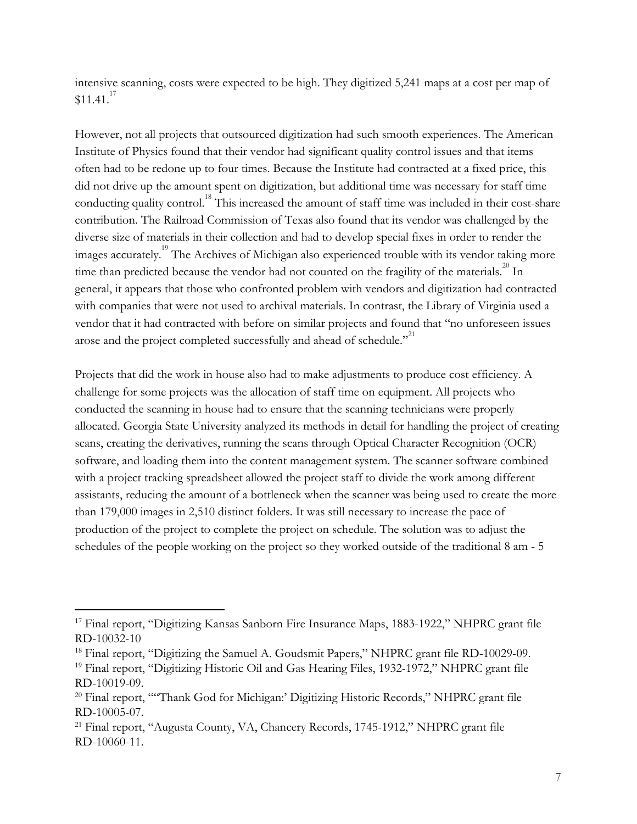intensive scanning, costs were expected to be high. They digitized 5,241 maps at a cost per map of  $$11.41<sup>17</sup>$ 

However, not all projects that outsourced digitization had such smooth experiences. The American Institute of Physics found that their vendor had significant quality control issues and that items often had to be redone up to four times. Because the Institute had contracted at a fixed price, this did not drive up the amount spent on digitization, but additional time was necessary for staff time conducting quality control.<sup>18</sup> This increased the amount of staff time was included in their cost-share contribution. The Railroad Commission of Texas also found that its vendor was challenged by the diverse size of materials in their collection and had to develop special fixes in order to render the images accurately.<sup>19</sup> The Archives of Michigan also experienced trouble with its vendor taking more time than predicted because the vendor had not counted on the fragility of the materials.<sup>20</sup> In general, it appears that those who confronted problem with vendors and digitization had contracted with companies that were not used to archival materials. In contrast, the Library of Virginia used a vendor that it had contracted with before on similar projects and found that "no unforeseen issues arose and the project completed successfully and ahead of schedule."<sup>21</sup>

Projects that did the work in house also had to make adjustments to produce cost efficiency. A challenge for some projects was the allocation of staff time on equipment. All projects who conducted the scanning in house had to ensure that the scanning technicians were properly allocated. Georgia State University analyzed its methods in detail for handling the project of creating scans, creating the derivatives, running the scans through Optical Character Recognition (OCR) software, and loading them into the content management system. The scanner software combined with a project tracking spreadsheet allowed the project staff to divide the work among different assistants, reducing the amount of a bottleneck when the scanner was being used to create the more than 179,000 images in 2,510 distinct folders. It was still necessary to increase the pace of production of the project to complete the project on schedule. The solution was to adjust the schedules of the people working on the project so they worked outside of the traditional 8 am - 5

<sup>&</sup>lt;sup>17</sup> Final report, "Digitizing Kansas Sanborn Fire Insurance Maps, 1883-1922," NHPRC grant file RD-10032-10

<sup>&</sup>lt;sup>18</sup> Final report, "Digitizing the Samuel A. Goudsmit Papers," NHPRC grant file RD-10029-09.

<sup>&</sup>lt;sup>19</sup> Final report, "Digitizing Historic Oil and Gas Hearing Files, 1932-1972," NHPRC grant file RD-10019-09.

<sup>20</sup> Final report, ""Thank God for Michigan:' Digitizing Historic Records," NHPRC grant file RD-10005-07.

<sup>21</sup> Final report, "Augusta County, VA, Chancery Records, 1745-1912," NHPRC grant file RD-10060-11.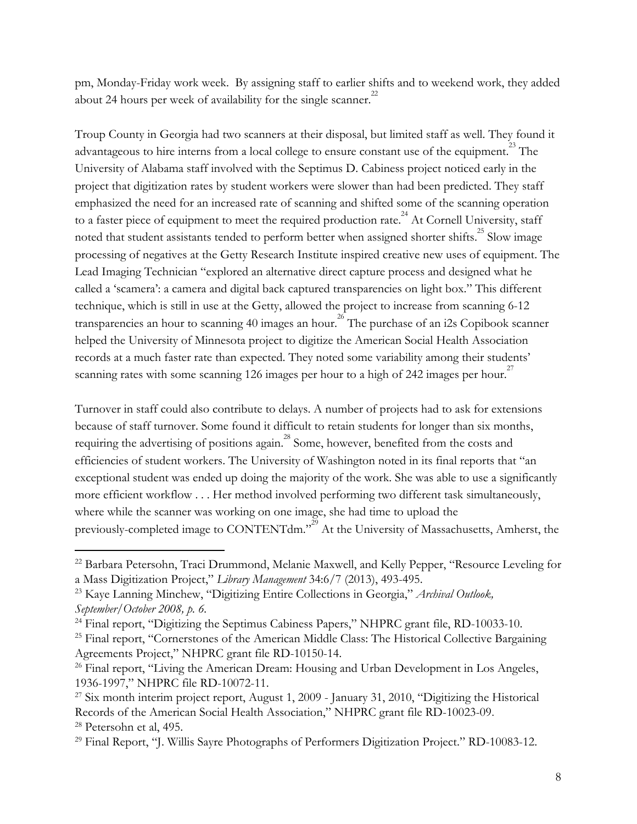pm, Monday-Friday work week. By assigning staff to earlier shifts and to weekend work, they added about 24 hours per week of availability for the single scanner.<sup>22</sup>

Troup County in Georgia had two scanners at their disposal, but limited staff as well. They found it advantageous to hire interns from a local college to ensure constant use of the equipment.<sup>23</sup> The University of Alabama staff involved with the Septimus D. Cabiness project noticed early in the project that digitization rates by student workers were slower than had been predicted. They staff emphasized the need for an increased rate of scanning and shifted some of the scanning operation to a faster piece of equipment to meet the required production rate.<sup> $^{24}$ </sup> At Cornell University, staff noted that student assistants tended to perform better when assigned shorter shifts.<sup>25</sup> Slow image processing of negatives at the Getty Research Institute inspired creative new uses of equipment. The Lead Imaging Technician "explored an alternative direct capture process and designed what he called a 'scamera': a camera and digital back captured transparencies on light box." This different technique, which is still in use at the Getty, allowed the project to increase from scanning 6-12 transparencies an hour to scanning 40 images an hour.<sup>26</sup> The purchase of an i2s Copibook scanner helped the University of Minnesota project to digitize the American Social Health Association records at a much faster rate than expected. They noted some variability among their students' scanning rates with some scanning 126 images per hour to a high of 242 images per hour.<sup>27</sup>

Turnover in staff could also contribute to delays. A number of projects had to ask for extensions because of staff turnover. Some found it difficult to retain students for longer than six months, requiring the advertising of positions again.<sup>28</sup> Some, however, benefited from the costs and efficiencies of student workers. The University of Washington noted in its final reports that "an exceptional student was ended up doing the majority of the work. She was able to use a significantly more efficient workflow . . . Her method involved performing two different task simultaneously, where while the scanner was working on one image, she had time to upload the previously-completed image to CONTENTdm."<sup>29</sup> At the University of Massachusetts, Amherst, the

<sup>22</sup> Barbara Petersohn, Traci Drummond, Melanie Maxwell, and Kelly Pepper, "Resource Leveling for a Mass Digitization Project," *Library Management* 34:6/7 (2013), 493-495.

<sup>23</sup> Kaye Lanning Minchew, "Digitizing Entire Collections in Georgia," *Archival Outlook, September/October 2008, p. 6.*

<sup>&</sup>lt;sup>24</sup> Final report, "Digitizing the Septimus Cabiness Papers," NHPRC grant file, RD-10033-10.

<sup>&</sup>lt;sup>25</sup> Final report, "Cornerstones of the American Middle Class: The Historical Collective Bargaining Agreements Project," NHPRC grant file RD-10150-14.

<sup>&</sup>lt;sup>26</sup> Final report, "Living the American Dream: Housing and Urban Development in Los Angeles, 1936-1997," NHPRC file RD-10072-11.

<sup>&</sup>lt;sup>27</sup> Six month interim project report, August 1, 2009 - January 31, 2010, "Digitizing the Historical Records of the American Social Health Association," NHPRC grant file RD-10023-09 . <sup>28</sup> Petersohn et al, 495.

<sup>29</sup> Final Report, "J. Willis Sayre Photographs of Performers Digitization Project." RD-10083-12.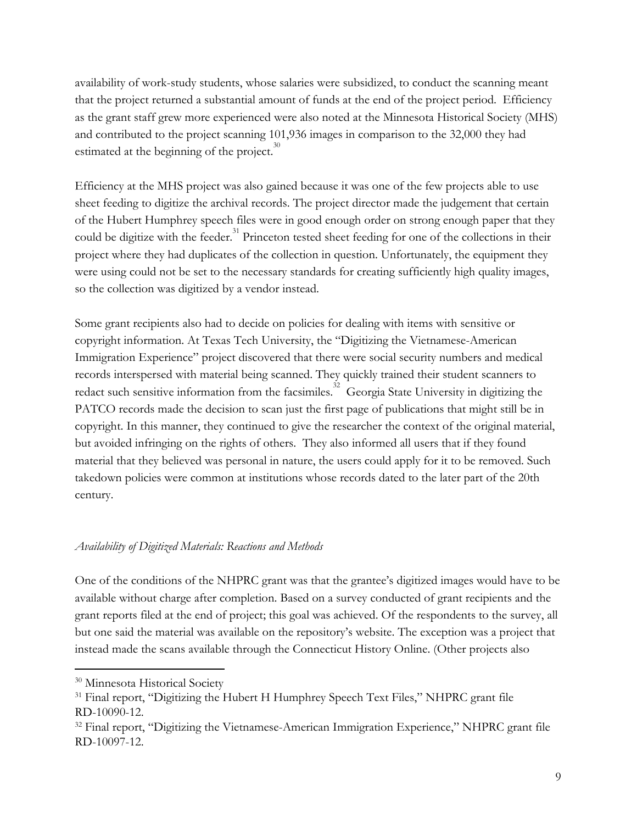availability of work-study students, whose salaries were subsidized, to conduct the scanning meant that the project returned a substantial amount of funds at the end of the project period. Efficiency as the grant staff grew more experienced were also noted at the Minnesota Historical Society (MHS) and contributed to the project scanning 101,936 images in comparison to the 32,000 they had estimated at the beginning of the project. $30$ 

Efficiency at the MHS project was also gained because it was one of the few projects able to use sheet feeding to digitize the archival records. The project director made the judgement that certain of the Hubert Humphrey speech files were in good enough order on strong enough paper that they could be digitize with the feeder.<sup>31</sup> Princeton tested sheet feeding for one of the collections in their project where they had duplicates of the collection in question. Unfortunately, the equipment they were using could not be set to the necessary standards for creating sufficiently high quality images, so the collection was digitized by a vendor instead.

Some grant recipients also had to decide on policies for dealing with items with sensitive or copyright information. At Texas Tech University, the "Digitizing the Vietnamese-American Immigration Experience" project discovered that there were social security numbers and medical records interspersed with material being scanned. They quickly trained their student scanners to redact such sensitive information from the facsimiles.<sup>32</sup> Georgia State University in digitizing the PATCO records made the decision to scan just the first page of publications that might still be in copyright. In this manner, they continued to give the researcher the context of the original material, but avoided infringing on the rights of others. They also informed all users that if they found material that they believed was personal in nature, the users could apply for it to be removed. Such takedown policies were common at institutions whose records dated to the later part of the 20th century.

## *Availability of Digitized Materials: Reactions and Methods*

One of the conditions of the NHPRC grant was that the grantee's digitized images would have to be available without charge after completion. Based on a survey conducted of grant recipients and the grant reports filed at the end of project; this goal was achieved. Of the respondents to the survey, all but one said the material was available on the repository's website. The exception was a project that instead made the scans available through the Connecticut History Online. (Other projects also

<sup>30</sup> Minnesota Historical Society

<sup>&</sup>lt;sup>31</sup> Final report, "Digitizing the Hubert H Humphrey Speech Text Files," NHPRC grant file RD-10090-12.

 $32$  Final report, "Digitizing the Vietnamese-American Immigration Experience," NHPRC grant file RD-10097-12.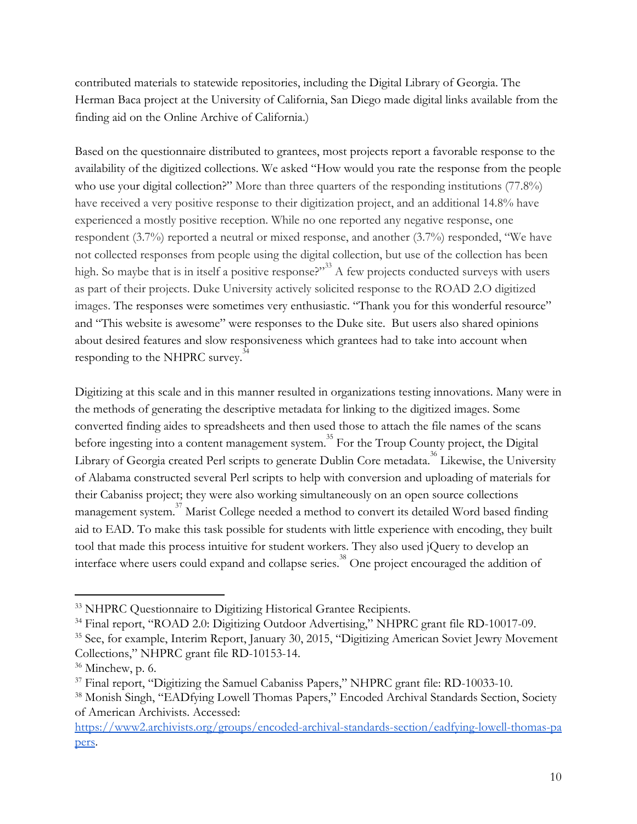contributed materials to statewide repositories, including the Digital Library of Georgia. The Herman Baca project at the University of California, San Diego made digital links available from the finding aid on the Online Archive of California.)

Based on the questionnaire distributed to grantees, most projects report a favorable response to the availability of the digitized collections. We asked "How would you rate the response from the people who use your digital collection?" More than three quarters of the responding institutions (77.8%) have received a very positive response to their digitization project, and an additional 14.8% have experienced a mostly positive reception. While no one reported any negative response, one respondent (3.7%) reported a neutral or mixed response, and another (3.7%) responded, "We have not collected responses from people using the digital collection, but use of the collection has been high. So maybe that is in itself a positive response?"  $A$  few projects conducted surveys with users as part of their projects. Duke University actively solicited response to the ROAD 2.O digitized images. The responses were sometimes very enthusiastic. "Thank you for this wonderful resource" and "This website is awesome" were responses to the Duke site. But users also shared opinions about desired features and slow responsiveness which grantees had to take into account when responding to the NHPRC survey.<sup>34</sup>

Digitizing at this scale and in this manner resulted in organizations testing innovations. Many were in the methods of generating the descriptive metadata for linking to the digitized images. Some converted finding aides to spreadsheets and then used those to attach the file names of the scans before ingesting into a content management system.<sup>35</sup> For the Troup County project, the Digital Library of Georgia created Perl scripts to generate Dublin Core metadata.<sup>36</sup> Likewise, the University of Alabama constructed several Perl scripts to help with conversion and uploading of materials for their Cabaniss project; they were also working simultaneously on an open source collections management system. $\frac{37}{3}$  Marist College needed a method to convert its detailed Word based finding aid to EAD. To make this task possible for students with little experience with encoding, they built tool that made this process intuitive for student workers. They also used jQuery to develop an interface where users could expand and collapse series.<sup>38</sup> One project encouraged the addition of

<sup>33</sup> NHPRC Questionnaire to Digitizing Historical Grantee Recipients.

<sup>34</sup> Final report, "ROAD 2.0: Digitizing Outdoor Advertising," NHPRC grant file RD-10017-09.

<sup>&</sup>lt;sup>35</sup> See, for example, Interim Report, January 30, 2015, "Digitizing American Soviet Jewry Movement Collections," NHPRC grant file RD-10153-14.

<sup>&</sup>lt;sup>36</sup> Minchew, p. 6.

<sup>&</sup>lt;sup>37</sup> Final report, "Digitizing the Samuel Cabaniss Papers," NHPRC grant file: RD-10033-10.

<sup>38</sup> Monish Singh, "EADfying Lowell Thomas Papers," Encoded Archival Standards Section, Society of American Archivists. Accessed:

[https://www2.archivists.org/groups/encoded-archival-standards-section/eadfying-lowell-thomas-pa](https://www2.archivists.org/groups/encoded-archival-standards-section/eadfying-lowell-thomas-papers) pers.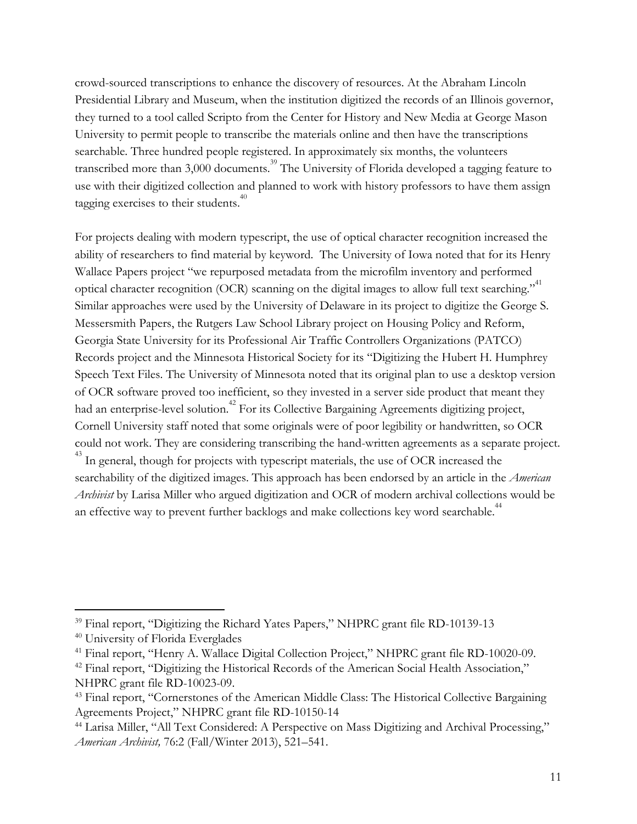crowd-sourced transcriptions to enhance the discovery of resources. At the Abraham Lincoln Presidential Library and Museum, when the institution digitized the records of an Illinois governor, they turned to a tool called Scripto from the Center for History and New Media at George Mason University to permit people to transcribe the materials online and then have the transcriptions searchable. Three hundred people registered. In approximately six months, the volunteers transcribed more than  $3,000$  documents.<sup>39</sup> The University of Florida developed a tagging feature to use with their digitized collection and planned to work with history professors to have them assign tagging exercises to their students.<sup>40</sup>

For projects dealing with modern typescript, the use of optical character recognition increased the ability of researchers to find material by keyword. The University of Iowa noted that for its Henry Wallace Papers project "we repurposed metadata from the microfilm inventory and performed optical character recognition (OCR) scanning on the digital images to allow full text searching."<sup>41</sup> Similar approaches were used by the University of Delaware in its project to digitize the George S. Messersmith Papers, the Rutgers Law School Library project on Housing Policy and Reform, Georgia State University for its Professional Air Traffic Controllers Organizations (PATCO) Records project and the Minnesota Historical Society for its "Digitizing the Hubert H. Humphrey Speech Text Files. The University of Minnesota noted that its original plan to use a desktop version of OCR software proved too inefficient, so they invested in a server side product that meant they had an enterprise-level solution.<sup>42</sup> For its Collective Bargaining Agreements digitizing project, Cornell University staff noted that some originals were of poor legibility or handwritten, so OCR could not work. They are considering transcribing the hand-written agreements as a separate project.  $^{43}$  In general, though for projects with typescript materials, the use of OCR increased the searchability of the digitized images. This approach has been endorsed by an article in the *American Archivist* by Larisa Miller who argued digitization and OCR of modern archival collections would be an effective way to prevent further backlogs and make collections key word searchable.<sup>44</sup>

<sup>&</sup>lt;sup>39</sup> Final report, "Digitizing the Richard Yates Papers," NHPRC grant file RD-10139-13

<sup>40</sup> University of Florida Everglades

<sup>&</sup>lt;sup>41</sup> Final report, "Henry A. Wallace Digital Collection Project," NHPRC grant file RD-10020-09.

<sup>&</sup>lt;sup>42</sup> Final report, "Digitizing the Historical Records of the American Social Health Association," NHPRC grant file RD-10023-09.

<sup>&</sup>lt;sup>43</sup> Final report, "Cornerstones of the American Middle Class: The Historical Collective Bargaining Agreements Project," NHPRC grant file RD-10150-14

<sup>44</sup> Larisa Miller, "All Text Considered: A Perspective on Mass Digitizing and Archival Processing," *American Archivist,* 76:2 (Fall/Winter 2013), 521–541.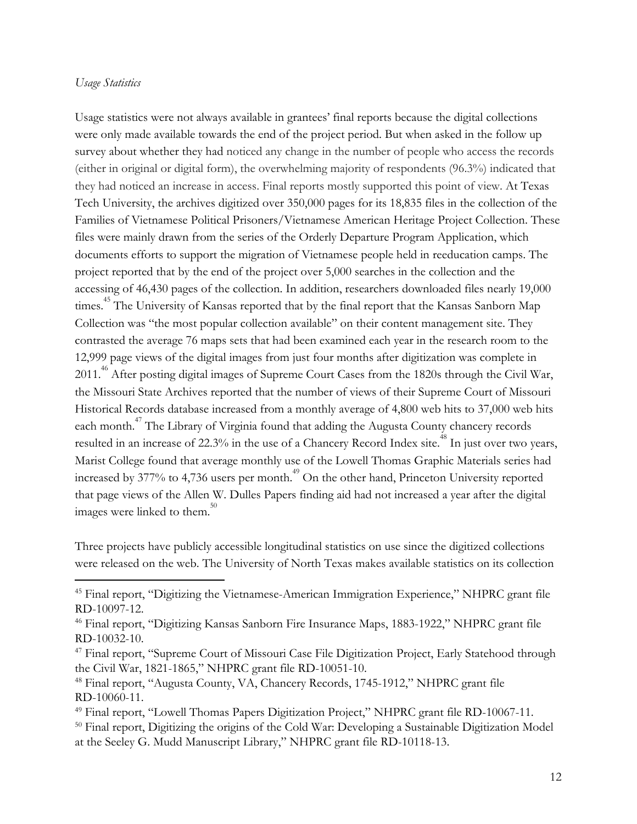#### *Usage Statistics*

Usage statistics were not always available in grantees' final reports because the digital collections were only made available towards the end of the project period. But when asked in the follow up survey about whether they had noticed any change in the number of people who access the records (either in original or digital form), the overwhelming majority of respondents (96.3%) indicated that they had noticed an increase in access. Final reports mostly supported this point of view. At Texas Tech University, the archives digitized over 350,000 pages for its 18,835 files in the collection of the Families of Vietnamese Political Prisoners/Vietnamese American Heritage Project Collection. These files were mainly drawn from the series of the Orderly Departure Program Application, which documents efforts to support the migration of Vietnamese people held in reeducation camps. The project reported that by the end of the project over 5,000 searches in the collection and the accessing of 46,430 pages of the collection. In addition, researchers downloaded files nearly 19,000 times.<sup>45</sup> The University of Kansas reported that by the final report that the Kansas Sanborn Map Collection was "the most popular collection available" on their content management site. They contrasted the average 76 maps sets that had been examined each year in the research room to the 12,999 page views of the digital images from just four months after digitization was complete in 2011.<sup>46</sup> After posting digital images of Supreme Court Cases from the 1820s through the Civil War, the Missouri State Archives reported that the number of views of their Supreme Court of Missouri Historical Records database increased from a monthly average of 4,800 web hits to 37,000 web hits each month.<sup> $47$ </sup> The Library of Virginia found that adding the Augusta County chancery records resulted in an increase of 22.3% in the use of a Chancery Record Index site.<sup>48</sup> In just over two years, Marist College found that average monthly use of the Lowell Thomas Graphic Materials series had increased by  $377\%$  to  $4,736$  users per month.<sup> $49$ </sup> On the other hand, Princeton University reported that page views of the Allen W. Dulles Papers finding aid had not increased a year after the digital images were linked to them. $50$ 

Three projects have publicly accessible longitudinal statistics on use since the digitized collections were released on the web. The University of North Texas makes available statistics on its collection

<sup>45</sup> Final report, "Digitizing the Vietnamese-American Immigration Experience," NHPRC grant file RD-10097-12.

<sup>46</sup> Final report, "Digitizing Kansas Sanborn Fire Insurance Maps, 1883-1922," NHPRC grant file RD-10032-10.

<sup>47</sup> Final report, "Supreme Court of Missouri Case File Digitization Project, Early Statehood through the Civil War, 1821-1865," NHPRC grant file RD-10051-10.

<sup>48</sup> Final report, "Augusta County, VA, Chancery Records, 1745-1912," NHPRC grant file RD-10060-11.

<sup>49</sup> Final report, "Lowell Thomas Papers Digitization Project," NHPRC grant file RD-10067-11.

<sup>&</sup>lt;sup>50</sup> Final report, Digitizing the origins of the Cold War: Developing a Sustainable Digitization Model at the Seeley G. Mudd Manuscript Library," NHPRC grant file RD-10118-13.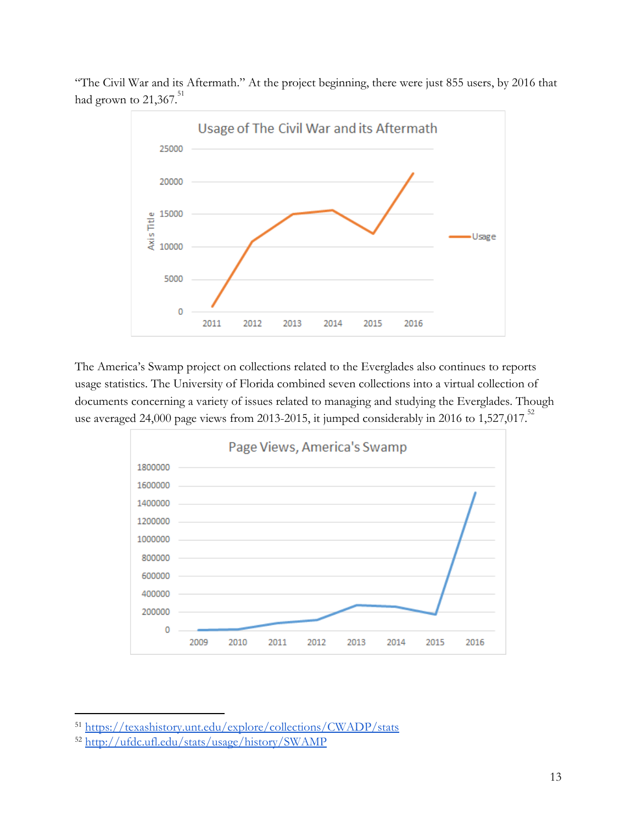

"The Civil War and its Aftermath." At the project beginning, there were just 855 users, by 2016 that had grown to  $21,367$ .<sup>51</sup>

The America's Swamp project on collections related to the Everglades also continues to reports usage statistics. The University of Florida combined seven collections into a virtual collection of documents concerning a variety of issues related to managing and studying the Everglades. Though use averaged 24,000 page views from 2013-2015, it jumped considerably in 2016 to 1,527,017.<sup>52</sup>



<sup>51</sup> <https://texashistory.unt.edu/explore/collections/CWADP/stats>

<sup>52</sup> <http://ufdc.ufl.edu/stats/usage/history/SWAMP>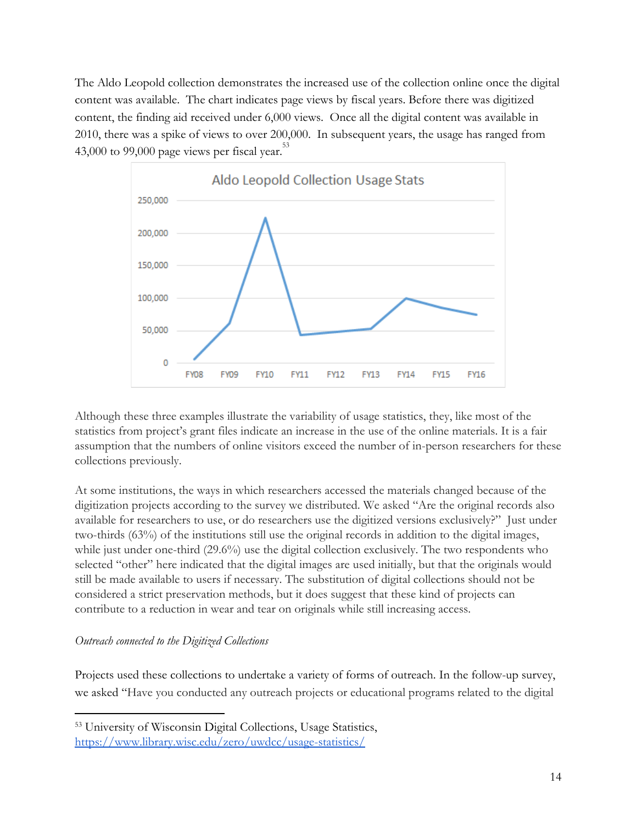The Aldo Leopold collection demonstrates the increased use of the collection online once the digital content was available. The chart indicates page views by fiscal years. Before there was digitized content, the finding aid received under 6,000 views. Once all the digital content was available in 2010, there was a spike of views to over 200,000. In subsequent years, the usage has ranged from 43,000 to 99,000 page views per fiscal year. $53$ 



Although these three examples illustrate the variability of usage statistics, they, like most of the statistics from project's grant files indicate an increase in the use of the online materials. It is a fair assumption that the numbers of online visitors exceed the number of in-person researchers for these collections previously.

At some institutions, the ways in which researchers accessed the materials changed because of the digitization projects according to the survey we distributed. We asked "Are the original records also available for researchers to use, or do researchers use the digitized versions exclusively?" Just under two-thirds (63%) of the institutions still use the original records in addition to the digital images, while just under one-third (29.6%) use the digital collection exclusively. The two respondents who selected "other" here indicated that the digital images are used initially, but that the originals would still be made available to users if necessary. The substitution of digital collections should not be considered a strict preservation methods, but it does suggest that these kind of projects can contribute to a reduction in wear and tear on originals while still increasing access.

## *Outreach connected to the Digitized Collections*

Projects used these collections to undertake a variety of forms of outreach. In the follow-up survey, we asked "Have you conducted any outreach projects or educational programs related to the digital

<sup>53</sup> University of Wisconsin Digital Collections, Usage Statistics, <https://www.library.wisc.edu/zero/uwdcc/usage-statistics/>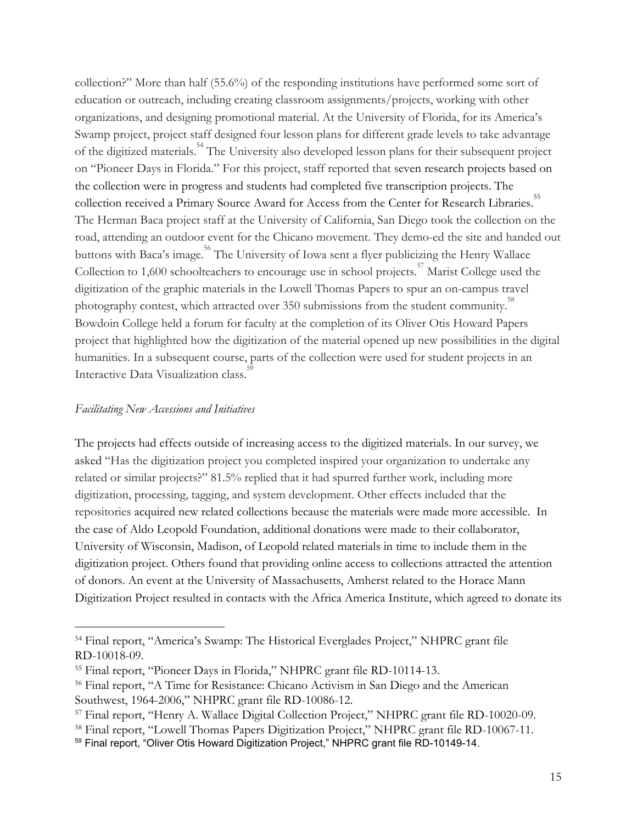collection?" More than half (55.6%) of the responding institutions have performed some sort of education or outreach, including creating classroom assignments/projects, working with other organizations, and designing promotional material. At the University of Florida, for its America's Swamp project, project staff designed four lesson plans for different grade levels to take advantage of the digitized materials.<sup>54</sup> The University also developed lesson plans for their subsequent project on "Pioneer Days in Florida." For this project, staff reported that seven research projects based on the collection were in progress and students had completed five transcription projects. The collection received a Primary Source Award for Access from the Center for Research Libraries.<sup>55</sup> The Herman Baca project staff at the University of California, San Diego took the collection on the road, attending an outdoor event for the Chicano movement. They demo-ed the site and handed out buttons with Baca's image.<sup>56</sup> The University of Iowa sent a flyer publicizing the Henry Wallace Collection to 1,600 schoolteachers to encourage use in school projects.<sup>57</sup> Marist College used the digitization of the graphic materials in the Lowell Thomas Papers to spur an on-campus travel photography contest, which attracted over 350 submissions from the student community.<sup>58</sup> Bowdoin College held a forum for faculty at the completion of its Oliver Otis Howard Papers project that highlighted how the digitization of the material opened up new possibilities in the digital humanities. In a subsequent course, parts of the collection were used for student projects in an Interactive Data Visualization class.<sup>5</sup>

### *Facilitating New Accessions and Initiatives*

The projects had effects outside of increasing access to the digitized materials. In our survey, we asked "Has the digitization project you completed inspired your organization to undertake any related or similar projects?" 81.5% replied that it had spurred further work, including more digitization, processing, tagging, and system development. Other effects included that the repositories acquired new related collections because the materials were made more accessible. In the case of Aldo Leopold Foundation, additional donations were made to their collaborator, University of Wisconsin, Madison, of Leopold related materials in time to include them in the digitization project. Others found that providing online access to collections attracted the attention of donors. An event at the University of Massachusetts, Amherst related to the Horace Mann Digitization Project resulted in contacts with the Africa America Institute, which agreed to donate its

<sup>54</sup> Final report, "America's Swamp: The Historical Everglades Project," NHPRC grant file RD-10018-09.

<sup>55</sup> Final report, "Pioneer Days in Florida," NHPRC grant file RD-10114-13.

<sup>56</sup> Final report, "A Time for Resistance: Chicano Activism in San Diego and the American Southwest, 1964-2006," NHPRC grant file RD-10086-12.

<sup>57</sup> Final report, "Henry A. Wallace Digital Collection Project," NHPRC grant file RD-10020-09.

<sup>&</sup>lt;sup>58</sup> Final report, "Lowell Thomas Papers Digitization Project," NHPRC grant file RD-10067-11.

<sup>&</sup>lt;sup>59</sup> Final report, "Oliver Otis Howard Digitization Project," NHPRC grant file RD-10149-14.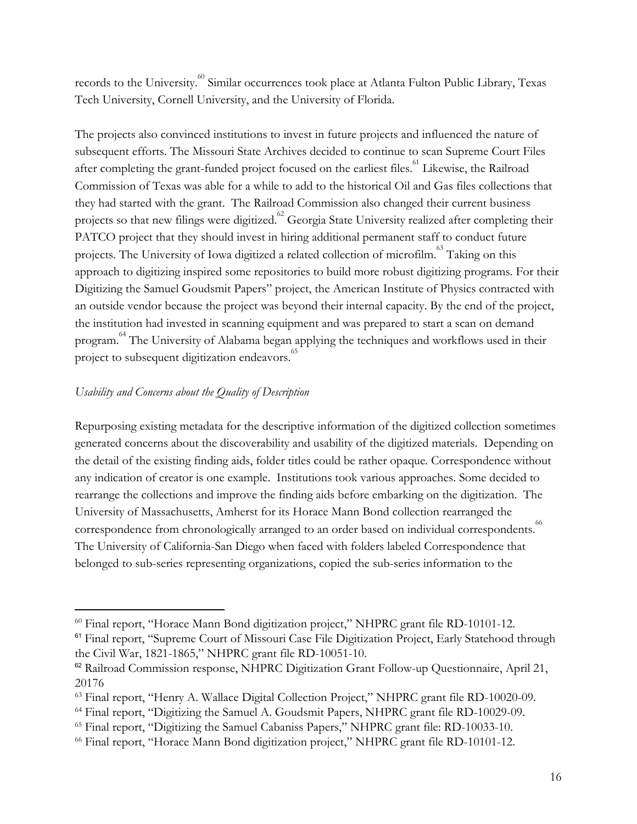records to the University.<sup>60</sup> Similar occurrences took place at Atlanta Fulton Public Library, Texas Tech University, Cornell University, and the University of Florida.

The projects also convinced institutions to invest in future projects and influenced the nature of subsequent efforts. The Missouri State Archives decided to continue to scan Supreme Court Files after completing the grant-funded project focused on the earliest files.<sup>61</sup> Likewise, the Railroad Commission of Texas was able for a while to add to the historical Oil and Gas files collections that they had started with the grant. The Railroad Commission also changed their current business projects so that new filings were digitized. <sup>62</sup> Georgia State University realized after completing their PATCO project that they should invest in hiring additional permanent staff to conduct future projects. The University of Iowa digitized a related collection of microfilm.<sup>63</sup> Taking on this approach to digitizing inspired some repositories to build more robust digitizing programs. For their Digitizing the Samuel Goudsmit Papers" project, the American Institute of Physics contracted with an outside vendor because the project was beyond their internal capacity. By the end of the project, the institution had invested in scanning equipment and was prepared to start a scan on demand program.<sup>64</sup> The University of Alabama began applying the techniques and workflows used in their project to subsequent digitization endeavors.<sup>65</sup>

## *Usability and Concerns about the Quality of Description*

Repurposing existing metadata for the descriptive information of the digitized collection sometimes generated concerns about the discoverability and usability of the digitized materials. Depending on the detail of the existing finding aids, folder titles could be rather opaque. Correspondence without any indication of creator is one example. Institutions took various approaches. Some decided to rearrange the collections and improve the finding aids before embarking on the digitization. The University of Massachusetts, Amherst for its Horace Mann Bond collection rearranged the correspondence from chronologically arranged to an order based on individual correspondents.<sup>6</sup> The University of California-San Diego when faced with folders labeled Correspondence that belonged to sub-series representing organizations, copied the sub-series information to the

<sup>60</sup> Final report, "Horace Mann Bond digitization project," NHPRC grant file RD-10101-12.

<sup>&</sup>lt;sup>61</sup> Final report, "Supreme Court of Missouri Case File Digitization Project, Early Statehood through the Civil War, 1821-1865," NHPRC grant file RD-10051-10.

<sup>62</sup> Railroad Commission response, NHPRC Digitization Grant Follow-up Questionnaire, April 21, 20176

<sup>&</sup>lt;sup>63</sup> Final report, "Henry A. Wallace Digital Collection Project," NHPRC grant file RD-10020-09.

<sup>64</sup> Final report, "Digitizing the Samuel A. Goudsmit Papers, NHPRC grant file RD-10029-09.

<sup>65</sup> Final report, "Digitizing the Samuel Cabaniss Papers," NHPRC grant file: RD-10033-10.

<sup>66</sup> Final report, "Horace Mann Bond digitization project," NHPRC grant file RD-10101-12.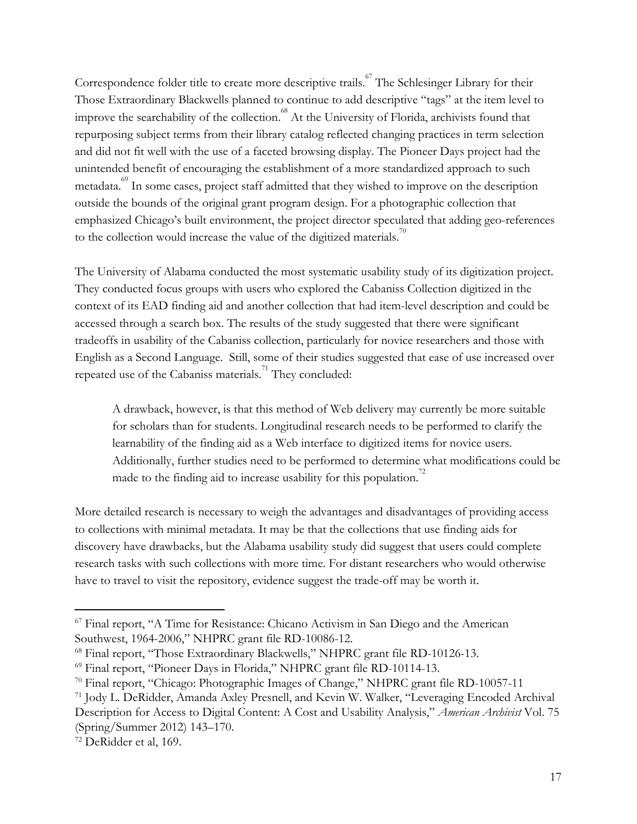Correspondence folder title to create more descriptive trails.<sup>67</sup> The Schlesinger Library for their Those Extraordinary Blackwells planned to continue to add descriptive "tags" at the item level to improve the searchability of the collection.  $^{68}$  At the University of Florida, archivists found that repurposing subject terms from their library catalog reflected changing practices in term selection and did not fit well with the use of a faceted browsing display. The Pioneer Days project had the unintended benefit of encouraging the establishment of a more standardized approach to such metadata.<sup>69</sup> In some cases, project staff admitted that they wished to improve on the description outside the bounds of the original grant program design. For a photographic collection that emphasized Chicago's built environment, the project director speculated that adding geo-references to the collection would increase the value of the digitized materials.<sup>70</sup>

The University of Alabama conducted the most systematic usability study of its digitization project. They conducted focus groups with users who explored the Cabaniss Collection digitized in the context of its EAD finding aid and another collection that had item-level description and could be accessed through a search box. The results of the study suggested that there were significant tradeoffs in usability of the Cabaniss collection, particularly for novice researchers and those with English as a Second Language. Still, some of their studies suggested that ease of use increased over repeated use of the Cabaniss materials.<sup>71</sup> They concluded:

A drawback, however, is that this method of Web delivery may currently be more suitable for scholars than for students. Longitudinal research needs to be performed to clarify the learnability of the finding aid as a Web interface to digitized items for novice users. Additionally, further studies need to be performed to determine what modifications could be made to the finding aid to increase usability for this population.<sup>72</sup>

More detailed research is necessary to weigh the advantages and disadvantages of providing access to collections with minimal metadata. It may be that the collections that use finding aids for discovery have drawbacks, but the Alabama usability study did suggest that users could complete research tasks with such collections with more time. For distant researchers who would otherwise have to travel to visit the repository, evidence suggest the trade-off may be worth it.

<sup>67</sup> Final report, "A Time for Resistance: Chicano Activism in San Diego and the American Southwest, 1964-2006," NHPRC grant file RD-10086-12.

<sup>68</sup> Final report, "Those Extraordinary Blackwells," NHPRC grant file RD-10126-13.

<sup>69</sup> Final report, "Pioneer Days in Florida," NHPRC grant file RD-10114-13.

 $70$  Final report, "Chicago: Photographic Images of Change," NHPRC grant file RD-10057-11

<sup>71</sup> Jody L. DeRidder, Amanda Axley Presnell, and Kevin W. Walker, "Leveraging Encoded Archival Description for Access to Digital Content: A Cost and Usability Analysis," *American Archivist* Vol. 75 (Spring/Summer 2012) 143–170.

<sup>72</sup> DeRidder et al, 169.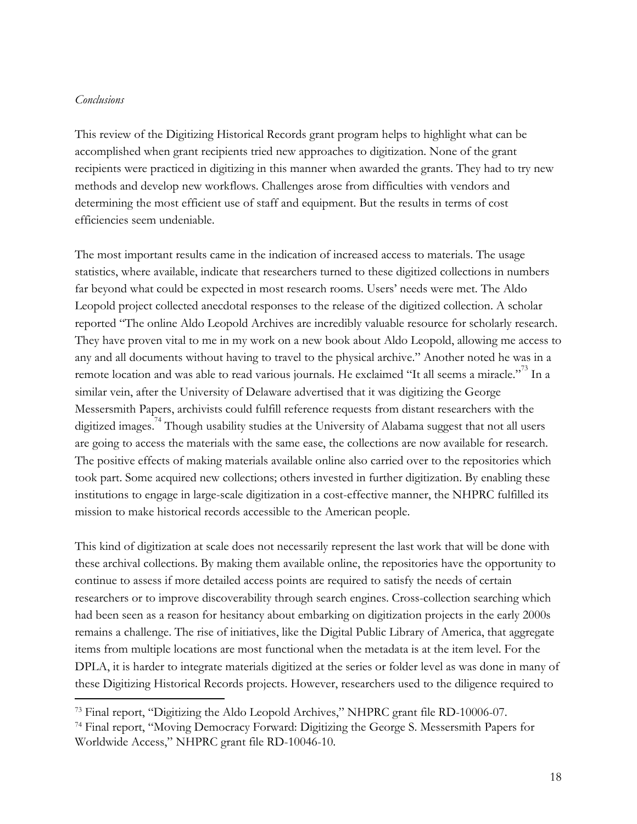### *Conclusions*

This review of the Digitizing Historical Records grant program helps to highlight what can be accomplished when grant recipients tried new approaches to digitization. None of the grant recipients were practiced in digitizing in this manner when awarded the grants. They had to try new methods and develop new workflows. Challenges arose from difficulties with vendors and determining the most efficient use of staff and equipment. But the results in terms of cost efficiencies seem undeniable.

The most important results came in the indication of increased access to materials. The usage statistics, where available, indicate that researchers turned to these digitized collections in numbers far beyond what could be expected in most research rooms. Users' needs were met. The Aldo Leopold project collected anecdotal responses to the release of the digitized collection. A scholar reported "The online Aldo Leopold Archives are incredibly valuable resource for scholarly research. They have proven vital to me in my work on a new book about Aldo Leopold, allowing me access to any and all documents without having to travel to the physical archive." Another noted he was in a remote location and was able to read various journals. He exclaimed "It all seems a miracle."<sup>73</sup> In a similar vein, after the University of Delaware advertised that it was digitizing the George Messersmith Papers, archivists could fulfill reference requests from distant researchers with the digitized images.<sup>74</sup> Though usability studies at the University of Alabama suggest that not all users are going to access the materials with the same ease, the collections are now available for research. The positive effects of making materials available online also carried over to the repositories which took part. Some acquired new collections; others invested in further digitization. By enabling these institutions to engage in large-scale digitization in a cost-effective manner, the NHPRC fulfilled its mission to make historical records accessible to the American people.

This kind of digitization at scale does not necessarily represent the last work that will be done with these archival collections. By making them available online, the repositories have the opportunity to continue to assess if more detailed access points are required to satisfy the needs of certain researchers or to improve discoverability through search engines. Cross-collection searching which had been seen as a reason for hesitancy about embarking on digitization projects in the early 2000s remains a challenge. The rise of initiatives, like the Digital Public Library of America, that aggregate items from multiple locations are most functional when the metadata is at the item level. For the DPLA, it is harder to integrate materials digitized at the series or folder level as was done in many of these Digitizing Historical Records projects. However, researchers used to the diligence required to

<sup>&</sup>lt;sup>73</sup> Final report, "Digitizing the Aldo Leopold Archives," NHPRC grant file RD-10006-07.

<sup>74</sup> Final report, "Moving Democracy Forward: Digitizing the George S. Messersmith Papers for Worldwide Access," NHPRC grant file RD-10046-10.